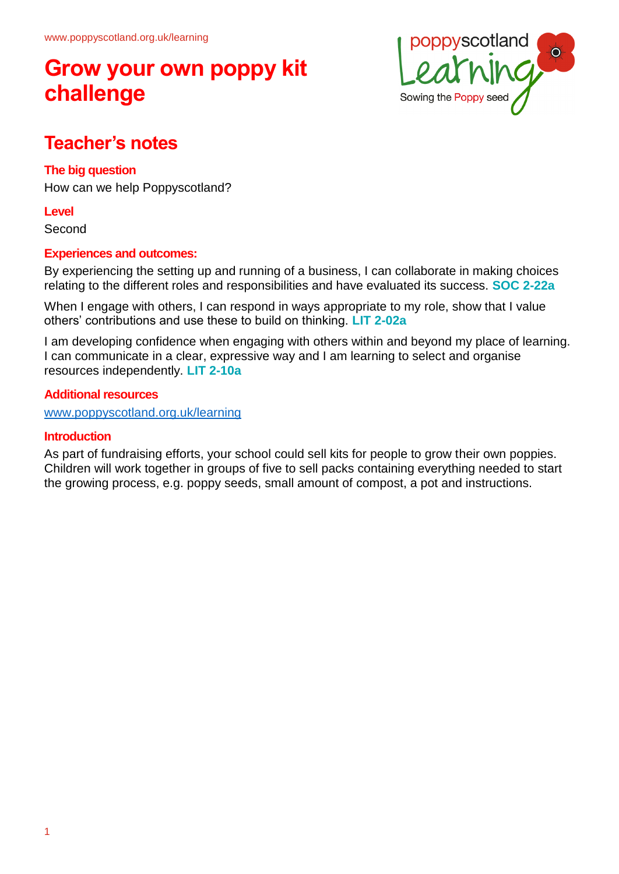# **Grow your own poppy kit challenge**



# **Teacher's notes**

## **The big question**

How can we help Poppyscotland?

### **Level**

Second

## **Experiences and outcomes:**

By experiencing the setting up and running of a business, I can collaborate in making choices relating to the different roles and responsibilities and have evaluated its success. **SOC 2-22a**

When I engage with others, I can respond in ways appropriate to my role, show that I value others' contributions and use these to build on thinking. **LIT 2-02a**

I am developing confidence when engaging with others within and beyond my place of learning. I can communicate in a clear, expressive way and I am learning to select and organise resources independently. **LIT 2-10a**

### **Additional resources**

[www.poppyscotland.org.uk/learning](http://www.poppyscotland.org.uk/learning)

### **Introduction**

As part of fundraising efforts, your school could sell kits for people to grow their own poppies. Children will work together in groups of five to sell packs containing everything needed to start the growing process, e.g. poppy seeds, small amount of compost, a pot and instructions.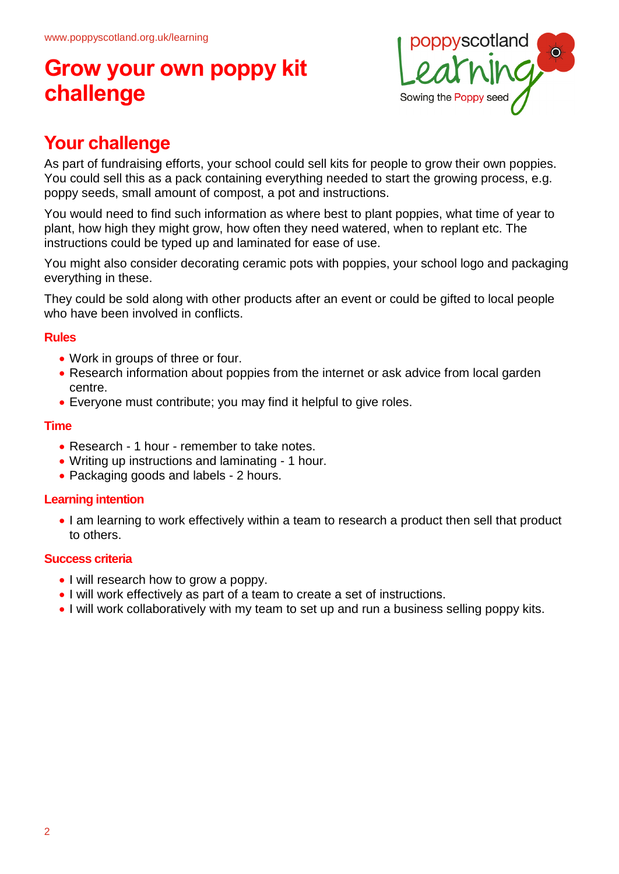# **Grow your own poppy kit challenge**



# **Your challenge**

As part of fundraising efforts, your school could sell kits for people to grow their own poppies. You could sell this as a pack containing everything needed to start the growing process, e.g. poppy seeds, small amount of compost, a pot and instructions.

You would need to find such information as where best to plant poppies, what time of year to plant, how high they might grow, how often they need watered, when to replant etc. The instructions could be typed up and laminated for ease of use.

You might also consider decorating ceramic pots with poppies, your school logo and packaging everything in these.

They could be sold along with other products after an event or could be gifted to local people who have been involved in conflicts.

### **Rules**

- Work in groups of three or four.
- Research information about poppies from the internet or ask advice from local garden centre.
- Everyone must contribute; you may find it helpful to give roles.

### **Time**

- Research 1 hour remember to take notes.
- Writing up instructions and laminating 1 hour.
- Packaging goods and labels 2 hours.

### **Learning intention**

• I am learning to work effectively within a team to research a product then sell that product to others.

### **Success criteria**

- I will research how to grow a poppy.
- I will work effectively as part of a team to create a set of instructions.
- I will work collaboratively with my team to set up and run a business selling poppy kits.